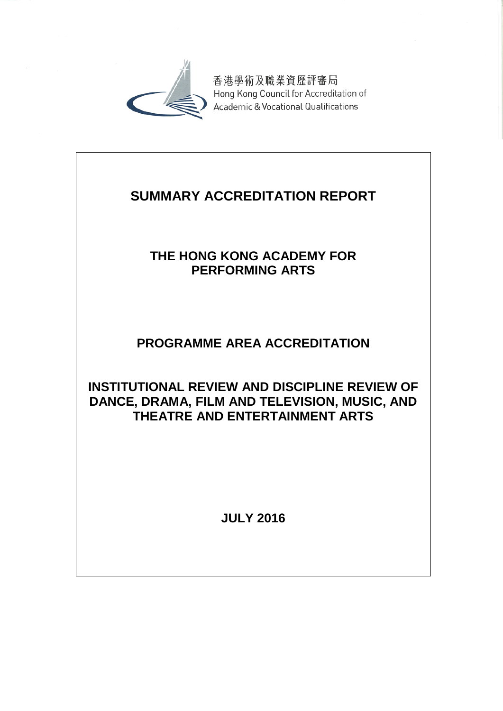

香港學術及職業資歷評審局 Hong Kong Council for Accreditation of Academic & Vocational Qualifications

# **SUMMARY ACCREDITATION REPORT**

## **THE HONG KONG ACADEMY FOR PERFORMING ARTS**

## **PROGRAMME AREA ACCREDITATION**

### **INSTITUTIONAL REVIEW AND DISCIPLINE REVIEW OF DANCE, DRAMA, FILM AND TELEVISION, MUSIC, AND THEATRE AND ENTERTAINMENT ARTS**

**JULY 2016**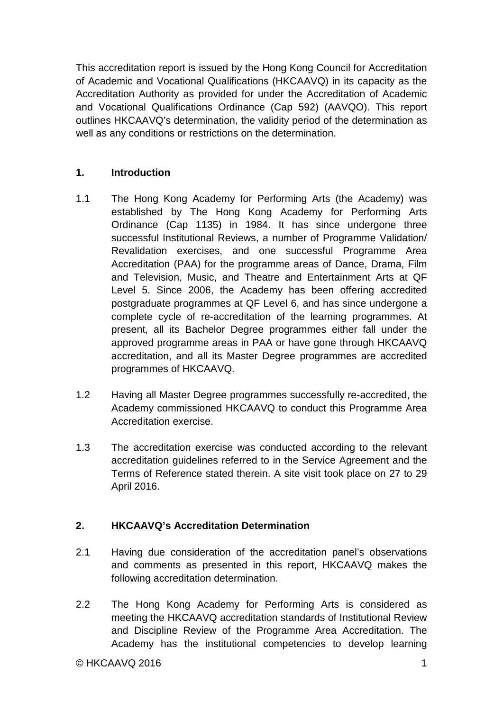This accreditation report is issued by the Hong Kong Council for Accreditation of Academic and Vocational Qualifications (HKCAAVQ) in its capacity as the Accreditation Authority as provided for under the Accreditation of Academic and Vocational Qualifications Ordinance (Cap 592) (AAVQO). This report outlines HKCAAVQ's determination, the validity period of the determination as well as any conditions or restrictions on the determination.

#### **1. Introduction**

- 1.1 The Hong Kong Academy for Performing Arts (the Academy) was established by The Hong Kong Academy for Performing Arts Ordinance (Cap 1135) in 1984. It has since undergone three successful Institutional Reviews, a number of Programme Validation/ Revalidation exercises, and one successful Programme Area Accreditation (PAA) for the programme areas of Dance, Drama, Film and Television, Music, and Theatre and Entertainment Arts at QF Level 5. Since 2006, the Academy has been offering accredited postgraduate programmes at QF Level 6, and has since undergone a complete cycle of re-accreditation of the learning programmes. At present, all its Bachelor Degree programmes either fall under the approved programme areas in PAA or have gone through HKCAAVQ accreditation, and all its Master Degree programmes are accredited programmes of HKCAAVQ.
- 1.2 Having all Master Degree programmes successfully re-accredited, the Academy commissioned HKCAAVQ to conduct this Programme Area Accreditation exercise.
- 1.3 The accreditation exercise was conducted according to the relevant accreditation guidelines referred to in the Service Agreement and the Terms of Reference stated therein. A site visit took place on 27 to 29 April 2016.

#### **2. HKCAAVQ's Accreditation Determination**

- 2.1 Having due consideration of the accreditation panel's observations and comments as presented in this report, HKCAAVQ makes the following accreditation determination.
- 2.2 The Hong Kong Academy for Performing Arts is considered as meeting the HKCAAVQ accreditation standards of Institutional Review and Discipline Review of the Programme Area Accreditation. The Academy has the institutional competencies to develop learning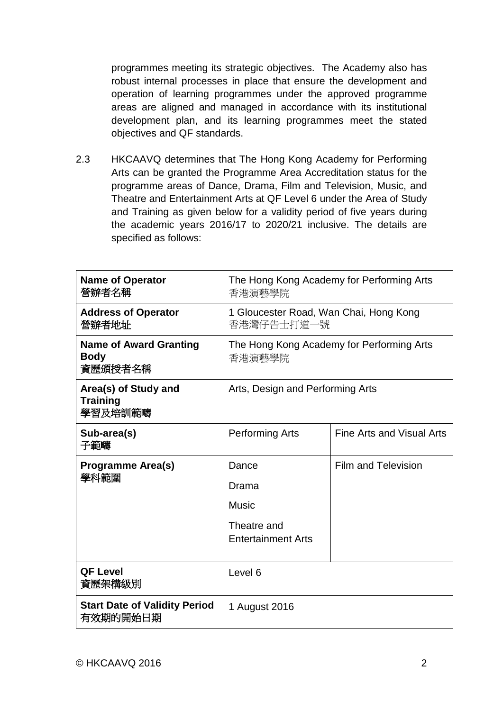programmes meeting its strategic objectives. The Academy also has robust internal processes in place that ensure the development and operation of learning programmes under the approved programme areas are aligned and managed in accordance with its institutional development plan, and its learning programmes meet the stated objectives and QF standards.

2.3 HKCAAVQ determines that The Hong Kong Academy for Performing Arts can be granted the Programme Area Accreditation status for the programme areas of Dance, Drama, Film and Television, Music, and Theatre and Entertainment Arts at QF Level 6 under the Area of Study and Training as given below for a validity period of five years during the academic years 2016/17 to 2020/21 inclusive. The details are specified as follows:

| <b>Name of Operator</b><br>營辦者名稱                        | The Hong Kong Academy for Performing Arts<br>香港演藝學院                        |                           |
|---------------------------------------------------------|----------------------------------------------------------------------------|---------------------------|
| <b>Address of Operator</b><br>營辦者地址                     | 1 Gloucester Road, Wan Chai, Hong Kong<br>香港灣仔告士打道一號                       |                           |
| <b>Name of Award Granting</b><br><b>Body</b><br>資歷頒授者名稱 | The Hong Kong Academy for Performing Arts<br>香港演藝學院                        |                           |
| Area(s) of Study and<br><b>Training</b><br>學習及培訓範疇      | Arts, Design and Performing Arts                                           |                           |
| Sub-area(s)<br>子範疇                                      | <b>Performing Arts</b>                                                     | Fine Arts and Visual Arts |
| <b>Programme Area(s)</b><br>學科範圍                        | Dance<br>Drama<br><b>Music</b><br>Theatre and<br><b>Entertainment Arts</b> | Film and Television       |
| <b>QF Level</b><br>資歷架構級別                               | Level <sub>6</sub>                                                         |                           |
| <b>Start Date of Validity Period</b><br>有效期的開始日期        | 1 August 2016                                                              |                           |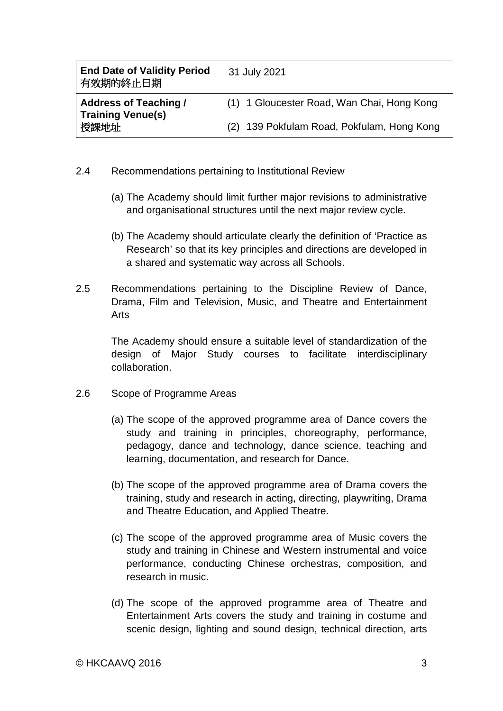| <b>End Date of Validity Period</b><br>有效期的終止日期           | 31 July 2021                               |
|----------------------------------------------------------|--------------------------------------------|
| <b>Address of Teaching /</b><br><b>Training Venue(s)</b> | (1) 1 Gloucester Road, Wan Chai, Hong Kong |
| 授課地址                                                     | (2) 139 Pokfulam Road, Pokfulam, Hong Kong |

- 2.4 Recommendations pertaining to Institutional Review
	- (a) The Academy should limit further major revisions to administrative and organisational structures until the next major review cycle.
	- (b) The Academy should articulate clearly the definition of 'Practice as Research' so that its key principles and directions are developed in a shared and systematic way across all Schools.
- 2.5 Recommendations pertaining to the Discipline Review of Dance, Drama, Film and Television, Music, and Theatre and Entertainment Arts

The Academy should ensure a suitable level of standardization of the design of Major Study courses to facilitate interdisciplinary collaboration.

- 2.6 Scope of Programme Areas
	- (a) The scope of the approved programme area of Dance covers the study and training in principles, choreography, performance, pedagogy, dance and technology, dance science, teaching and learning, documentation, and research for Dance.
	- (b) The scope of the approved programme area of Drama covers the training, study and research in acting, directing, playwriting, Drama and Theatre Education, and Applied Theatre.
	- (c) The scope of the approved programme area of Music covers the study and training in Chinese and Western instrumental and voice performance, conducting Chinese orchestras, composition, and research in music.
	- (d) The scope of the approved programme area of Theatre and Entertainment Arts covers the study and training in costume and scenic design, lighting and sound design, technical direction, arts